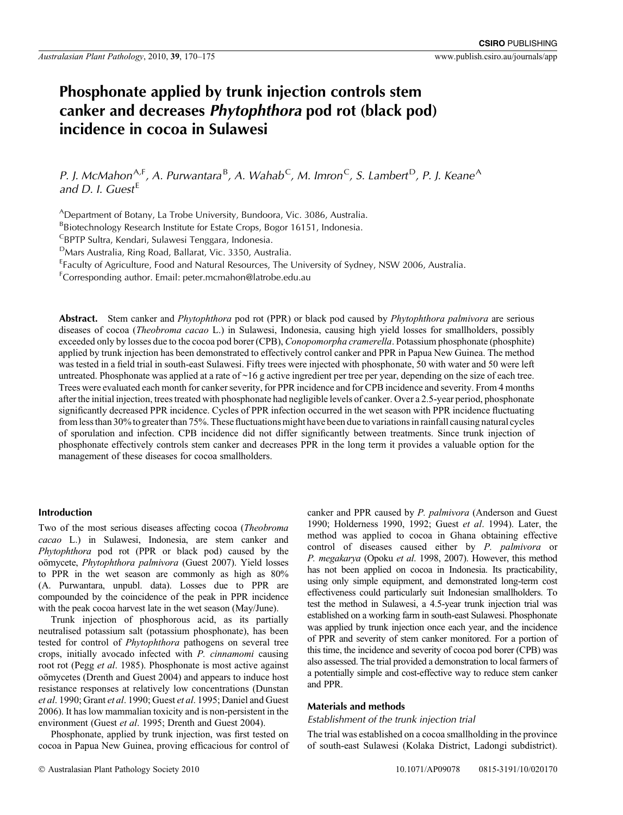# **Phosphonate applied by trunk injection controls stem canker and decreases** *Phytophthora* **pod rot (black pod) incidence in cocoa in Sulawesi**

*P. J. McMahon*A*,*<sup>F</sup> *, A. Purwantara* B *, A. Wahab*C *, M. Imron*C*, S. Lambert* D*, P. J. Keane*A *and D. I. Guest* E

ADepartment of Botany, La Trobe University, Bundoora, Vic. 3086, Australia.

<sup>B</sup>Biotechnology Research Institute for Estate Crops, Bogor 16151, Indonesia.

CBPTP Sultra, Kendari, Sulawesi Tenggara, Indonesia.

DMars Australia, Ring Road, Ballarat, Vic. 3350, Australia.

<sup>E</sup>Faculty of Agriculture, Food and Natural Resources, The University of Sydney, NSW 2006, Australia.

F Corresponding author. Email: peter.mcmahon@latrobe.edu.au

**Abstract.** Stem canker and *Phytophthora* pod rot (PPR) or black pod caused by *Phytophthora palmivora* are serious diseases of cocoa (*Theobroma cacao* L.) in Sulawesi, Indonesia, causing high yield losses for smallholders, possibly exceeded only by losses due to the cocoa pod borer (CPB), *Conopomorpha cramerella*. Potassium phosphonate (phosphite) applied by trunk injection has been demonstrated to effectively control canker and PPR in Papua New Guinea. The method was tested in a field trial in south-east Sulawesi. Fifty trees were injected with phosphonate, 50 with water and 50 were left untreated. Phosphonate was applied at a rate of ~16 g active ingredient per tree per year, depending on the size of each tree. Trees were evaluated each month for canker severity, for PPR incidence and for CPB incidence and severity. From 4 months after the initial injection, trees treated with phosphonate had negligible levels of canker. Over a 2.5-year period, phosphonate significantly decreased PPR incidence. Cycles of PPR infection occurred in the wet season with PPR incidence fluctuating from less than 30% to greater than 75%. These fluctuations might have been due to variations in rainfall causing natural cycles of sporulation and infection. CPB incidence did not differ significantly between treatments. Since trunk injection of phosphonate effectively controls stem canker and decreases PPR in the long term it provides a valuable option for the management of these diseases for cocoa smallholders.

#### **Introduction**

Two of the most serious diseases affecting cocoa (*Theobroma cacao* L.) in Sulawesi, Indonesia, are stem canker and *Phytophthora* pod rot (PPR or black pod) caused by the oömycete, *Phytophthora palmivora* [\(Guest 2007\)](#page-5-0). Yield losses to PPR in the wet season are commonly as high as 80% (A. Purwantara, unpubl. data). Losses due to PPR are compounded by the coincidence of the peak in PPR incidence with the peak cocoa harvest late in the wet season (May/June).

Trunk injection of phosphorous acid, as its partially neutralised potassium salt (potassium phosphonate), has been tested for control of *Phytophthora* pathogens on several tree crops, initially avocado infected with *P. cinnamomi* causing root rot (Pegg *et al*[. 1985](#page-5-0)). Phosphonate is most active against oömycetes [\(Drenth and Guest 2004](#page-5-0)) and appears to induce host resistance responses at relatively low concentrations ([Dunstan](#page-5-0) *et al*[. 1990](#page-5-0); Grant *et al*[. 1990](#page-5-0); Guest *et al*[. 1995; Daniel and Guest](#page-5-0) [2006\)](#page-5-0). It has low mammalian toxicity and is non-persistent in the environment (Guest *et al*[. 1995; Drenth and Guest 2004\)](#page-5-0).

Phosphonate, applied by trunk injection, was first tested on cocoa in Papua New Guinea, proving efficacious for control of canker and PPR caused by *P. palmivora* ([Anderson and Guest](#page-5-0) [1990; Holderness 1990, 1992;](#page-5-0) Guest *et al*[. 1994\)](#page-5-0). Later, the method was applied to cocoa in Ghana obtaining effective control of diseases caused either by *P. palmivora* or *P. megakarya* [\(Opoku](#page-5-0) *et al*. 1998, [2007\)](#page-5-0). However, this method has not been applied on cocoa in Indonesia. Its practicability, using only simple equipment, and demonstrated long-term cost effectiveness could particularly suit Indonesian smallholders. To test the method in Sulawesi, a 4.5-year trunk injection trial was established on a working farm in south-east Sulawesi. Phosphonate was applied by trunk injection once each year, and the incidence of PPR and severity of stem canker monitored. For a portion of this time, the incidence and severity of cocoa pod borer (CPB) was also assessed. The trial provided a demonstration to local farmers of a potentially simple and cost-effective way to reduce stem canker and PPR.

# **Materials and methods**

## *Establishment of the trunk injection trial*

The trial was established on a cocoa smallholding in the province of south-east Sulawesi (Kolaka District, Ladongi subdistrict).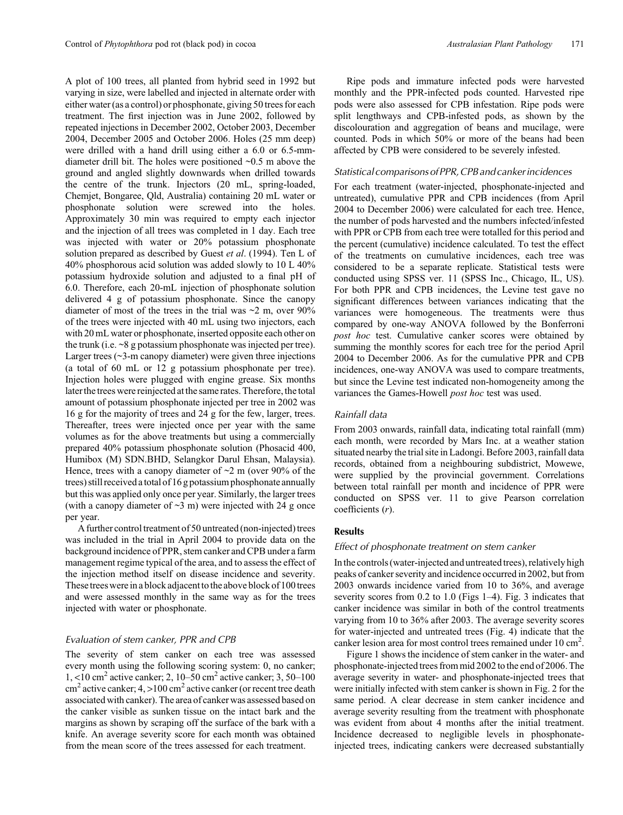A plot of 100 trees, all planted from hybrid seed in 1992 but varying in size, were labelled and injected in alternate order with either water (as a control) or phosphonate, giving 50 trees for each treatment. The first injection was in June 2002, followed by repeated injections in December 2002, October 2003, December 2004, December 2005 and October 2006. Holes (25 mm deep) were drilled with a hand drill using either a 6.0 or 6.5-mmdiameter drill bit. The holes were positioned ~0.5 m above the ground and angled slightly downwards when drilled towards the centre of the trunk. Injectors (20 mL, spring-loaded, Chemjet, Bongaree, Qld, Australia) containing 20 mL water or phosphonate solution were screwed into the holes. Approximately 30 min was required to empty each injector and the injection of all trees was completed in 1 day. Each tree was injected with water or 20% potassium phosphonate solution prepared as described by Guest *et al*[. \(1994\)](#page-5-0). Ten L of 40% phosphorous acid solution was added slowly to 10 L 40% potassium hydroxide solution and adjusted to a final pH of 6.0. Therefore, each 20-mL injection of phosphonate solution delivered 4 g of potassium phosphonate. Since the canopy diameter of most of the trees in the trial was  $\sim$ 2 m, over 90% of the trees were injected with 40 mL using two injectors, each with 20 mL water or phosphonate, inserted opposite each other on the trunk (i.e.  $\sim$ 8 g potassium phosphonate was injected per tree). Larger trees  $(\sim 3$ -m canopy diameter) were given three injections (a total of 60 mL or 12 g potassium phosphonate per tree). Injection holes were plugged with engine grease. Six months later the trees were reinjected at the same rates. Therefore, the total amount of potassium phosphonate injected per tree in 2002 was 16 g for the majority of trees and 24 g for the few, larger, trees. Thereafter, trees were injected once per year with the same volumes as for the above treatments but using a commercially prepared 40% potassium phosphonate solution (Phosacid 400, Humibox (M) SDN.BHD, Selangkor Darul Ehsan, Malaysia). Hence, trees with a canopy diameter of  $\sim$ 2 m (over 90% of the trees) still received atotal of 16 g potassium phosphonate annually but this was applied only once per year. Similarly, the larger trees (with a canopy diameter of  $\sim$ 3 m) were injected with 24 g once per year.

A further control treatment of 50 untreated (non-injected) trees was included in the trial in April 2004 to provide data on the background incidence of PPR, stem canker and CPB under a farm management regime typical of the area, and to assess the effect of the injection method itself on disease incidence and severity. These trees were in a block adjacent to the above block of 100 trees and were assessed monthly in the same way as for the trees injected with water or phosphonate.

## *Evaluation of stem canker, PPR and CPB*

The severity of stem canker on each tree was assessed every month using the following scoring system: 0, no canker; 1, <10 cm2 active canker; 2, 10–50 cm<sup>2</sup> active canker; 3, 50–100  $\text{cm}^2$  active canker; 4, >100 cm<sup>2</sup> active canker (or recent tree death associated with canker). The area of canker was assessed based on the canker visible as sunken tissue on the intact bark and the margins as shown by scraping off the surface of the bark with a knife. An average severity score for each month was obtained from the mean score of the trees assessed for each treatment.

Ripe pods and immature infected pods were harvested monthly and the PPR-infected pods counted. Harvested ripe pods were also assessed for CPB infestation. Ripe pods were split lengthways and CPB-infested pods, as shown by the discolouration and aggregation of beans and mucilage, were counted. Pods in which 50% or more of the beans had been affected by CPB were considered to be severely infested.

## *Statistical comparisons of PPR, CPB and cankerincidences*

For each treatment (water-injected, phosphonate-injected and untreated), cumulative PPR and CPB incidences (from April 2004 to December 2006) were calculated for each tree. Hence, the number of pods harvested and the numbers infected/infested with PPR or CPB from each tree were totalled for this period and the percent (cumulative) incidence calculated. To test the effect of the treatments on cumulative incidences, each tree was considered to be a separate replicate. Statistical tests were conducted using SPSS ver. 11 (SPSS Inc., Chicago, IL, US). For both PPR and CPB incidences, the Levine test gave no significant differences between variances indicating that the variances were homogeneous. The treatments were thus compared by one-way ANOVA followed by the Bonferroni *post hoc* test. Cumulative canker scores were obtained by summing the monthly scores for each tree for the period April 2004 to December 2006. As for the cumulative PPR and CPB incidences, one-way ANOVA was used to compare treatments, but since the Levine test indicated non-homogeneity among the variances the Games-Howell *post hoc* test was used.

## *Rainfall data*

From 2003 onwards, rainfall data, indicating total rainfall (mm) each month, were recorded by Mars Inc. at a weather station situated nearby the trial site in Ladongi. Before 2003, rainfall data records, obtained from a neighbouring subdistrict, Mowewe, were supplied by the provincial government. Correlations between total rainfall per month and incidence of PPR were conducted on SPSS ver. 11 to give Pearson correlation coefficients (*r*).

## **Results**

#### *Effect of phosphonate treatment on stem canker*

Inthe controls (water-injected and untreated trees), relatively high peaks of canker severity and incidence occurred in 2002, but from 2003 onwards incidence varied from 10 to 36%, and average severity scores from 0.2 to 1.0 (Figs 1–4). [Fig. 3](#page-2-0) indicates that canker incidence was similar in both of the control treatments varying from 10 to 36% after 2003. The average severity scores for water-injected and untreated trees [\(Fig. 4](#page-2-0)) indicate that the canker lesion area for most control trees remained under 10 cm<sup>2</sup>.

[Figure 1](#page-2-0) shows the incidence of stem canker in the water- and phosphonate-injected trees from mid 2002 to the end of 2006. The average severity in water- and phosphonate-injected trees that were initially infected with stem canker is shown in [Fig. 2](#page-2-0) for the same period. A clear decrease in stem canker incidence and average severity resulting from the treatment with phosphonate was evident from about 4 months after the initial treatment. Incidence decreased to negligible levels in phosphonateinjected trees, indicating cankers were decreased substantially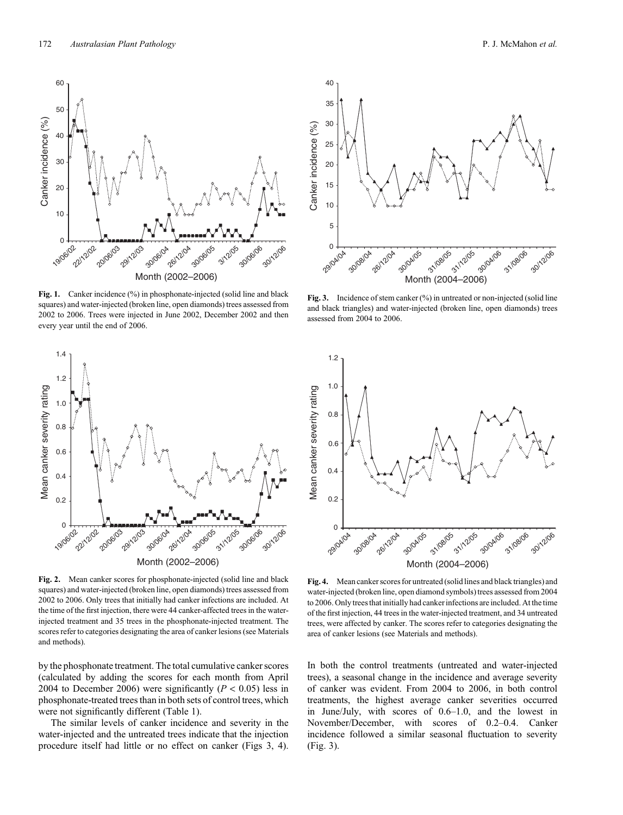Fig. 1. Canker incidence (%) in phosphonate-injected (solid line and black squares) and water-injected (broken line, open diamonds) trees assessed from 2002 to 2006. Trees were injected in June 2002, December 2002 and then every year until the end of 2006.

**Fig. 2.** Mean canker scores for phosphonate-injected (solid line and black squares) and water-injected (broken line, open diamonds) trees assessed from 2002 to 2006. Only trees that initially had canker infections are included. At the time of the first injection, there were 44 canker-affected trees in the waterinjected treatment and 35 trees in the phosphonate-injected treatment. The scores refer to categories designating the area of canker lesions (see Materials and methods).

30/06/04

26/12/2

Month (2002–2006)

30/06/05

31/2/05

30/06/06

30/12/06

1.2

19/06/02 22/2/02

Mean canker severity rating

Mean canker severity rating

1.4

1.2

1.0

0.8

0.6

0.4

0.2

20/06/03

29/12/03

by the phosphonate treatment. The total cumulative canker scores (calculated by adding the scores for each month from April 2004 to December 2006) were significantly  $(P < 0.05)$  less in phosphonate-treated trees than in both sets of control trees, which were not significantly different ([Table 1\)](#page-3-0).

The similar levels of canker incidence and severity in the water-injected and the untreated trees indicate that the injection procedure itself had little or no effect on canker (Figs 3, 4).

**Fig. 3.** Incidence of stem canker (%) in untreated or non-injected (solid line and black triangles) and water-injected (broken line, open diamonds) trees assessed from 2004 to 2006.



**Fig. 4.** Mean canker scores for untreated (solid lines and black triangles) and water-injected (broken line, open diamond symbols) trees assessed from 2004 to 2006. Only trees that initially had canker infections are included. At the time of the first injection, 44 trees in the water-injected treatment, and 34 untreated trees, were affected by canker. The scores refer to categories designating the area of canker lesions (see Materials and methods).

In both the control treatments (untreated and water-injected trees), a seasonal change in the incidence and average severity of canker was evident. From 2004 to 2006, in both control treatments, the highest average canker severities occurred in June/July, with scores of 0.6–1.0, and the lowest in November/December, with scores of 0.2–0.4. Canker incidence followed a similar seasonal fluctuation to severity (Fig. 3).

<span id="page-2-0"></span>

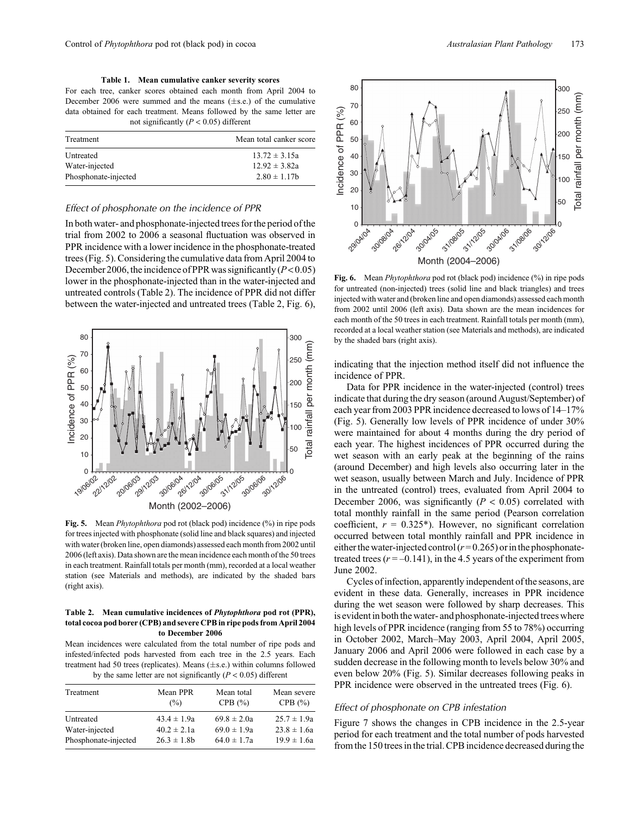**Table 1. Mean cumulative canker severity scores**

<span id="page-3-0"></span>For each tree, canker scores obtained each month from April 2004 to December 2006 were summed and the means  $(\pm s.e.)$  of the cumulative data obtained for each treatment. Means followed by the same letter are not significantly  $(P < 0.05)$  different

| Treatment            | Mean total canker score |
|----------------------|-------------------------|
| Untreated            | $13.72 \pm 3.15a$       |
| Water-injected       | $12.92 \pm 3.82a$       |
| Phosphonate-injected | $2.80 \pm 1.17$ h       |

## *Effect of phosphonate on the incidence of PPR*

In both water- and phosphonate-injected trees for the period of the trial from 2002 to 2006 a seasonal fluctuation was observed in PPR incidence with a lower incidence in the phosphonate-treated trees (Fig. 5). Considering the cumulative data from April 2004 to December 2006, the incidence of PPR was significantly  $(P<0.05)$ lower in the phosphonate-injected than in the water-injected and untreated controls (Table 2). The incidence of PPR did not differ between the water-injected and untreated trees (Table 2, Fig. 6),



**Fig. 5.** Mean *Phytophthora* pod rot (black pod) incidence (%) in ripe pods for trees injected with phosphonate (solid line and black squares) and injected with water (broken line, open diamonds) assessed each month from 2002 until 2006 (left axis). Data shown are the mean incidence each month of the 50 trees in each treatment. Rainfall totals per month (mm), recorded at a local weather station (see Materials and methods), are indicated by the shaded bars (right axis).

#### **Table 2. Mean cumulative incidences of** *Phytophthora* **pod rot (PPR), total cocoa pod borer (CPB) and severe CPB in ripe pods from April 2004 to December 2006**

Mean incidences were calculated from the total number of ripe pods and infested/infected pods harvested from each tree in the 2.5 years. Each treatment had 50 trees (replicates). Means  $(\pm s.e.)$  within columns followed by the same letter are not significantly  $(P < 0.05)$  different

| Mean PPR<br>(%) | Mean total<br>CPB $(\% )$ | Mean severe<br>CPB $(\% )$ |
|-----------------|---------------------------|----------------------------|
| $43.4 \pm 1.9a$ | $69.8 \pm 2.0a$           | $25.7 \pm 1.9a$            |
| $40.2 \pm 2.1a$ | $69.0 \pm 1.9a$           | $23.8 \pm 1.6a$            |
| $26.3 \pm 1.8b$ | $64.0 \pm 1.7a$           | $19.9 \pm 1.6a$            |
|                 |                           |                            |



**Fig. 6.** Mean *Phytophthora* pod rot (black pod) incidence (%) in ripe pods for untreated (non-injected) trees (solid line and black triangles) and trees injected with water and (broken line and open diamonds) assessed each month from 2002 until 2006 (left axis). Data shown are the mean incidences for each month of the 50 trees in each treatment. Rainfall totals per month (mm), recorded at a local weather station (see Materials and methods), are indicated by the shaded bars (right axis).

indicating that the injection method itself did not influence the incidence of PPR.

Data for PPR incidence in the water-injected (control) trees indicate that during the dry season (around August/September) of each year from 2003 PPR incidence decreased to lows of 14–17% (Fig. 5). Generally low levels of PPR incidence of under 30% were maintained for about 4 months during the dry period of each year. The highest incidences of PPR occurred during the wet season with an early peak at the beginning of the rains (around December) and high levels also occurring later in the wet season, usually between March and July. Incidence of PPR in the untreated (control) trees, evaluated from April 2004 to December 2006, was significantly (*P* < 0.05) correlated with total monthly rainfall in the same period (Pearson correlation coefficient,  $r = 0.325^*$ ). However, no significant correlation occurred between total monthly rainfall and PPR incidence in either the water-injected control  $(r=0.265)$  or in the phosphonatetreated trees  $(r = -0.141)$ , in the 4.5 years of the experiment from June 2002.

Cycles of infection, apparently independent of the seasons, are evident in these data. Generally, increases in PPR incidence during the wet season were followed by sharp decreases. This is evident in both the water- and phosphonate-injected trees where high levels of PPR incidence (ranging from 55 to 78%) occurring in October 2002, March–May 2003, April 2004, April 2005, January 2006 and April 2006 were followed in each case by a sudden decrease in the following month to levels below 30% and even below 20% (Fig. 5). Similar decreases following peaks in PPR incidence were observed in the untreated trees (Fig. 6).

## *Effect of phosphonate on CPB infestation*

[Figure 7](#page-4-0) shows the changes in CPB incidence in the 2.5-year period for each treatment and the total number of pods harvested from the 150 trees in the trial. CPB incidence decreased during the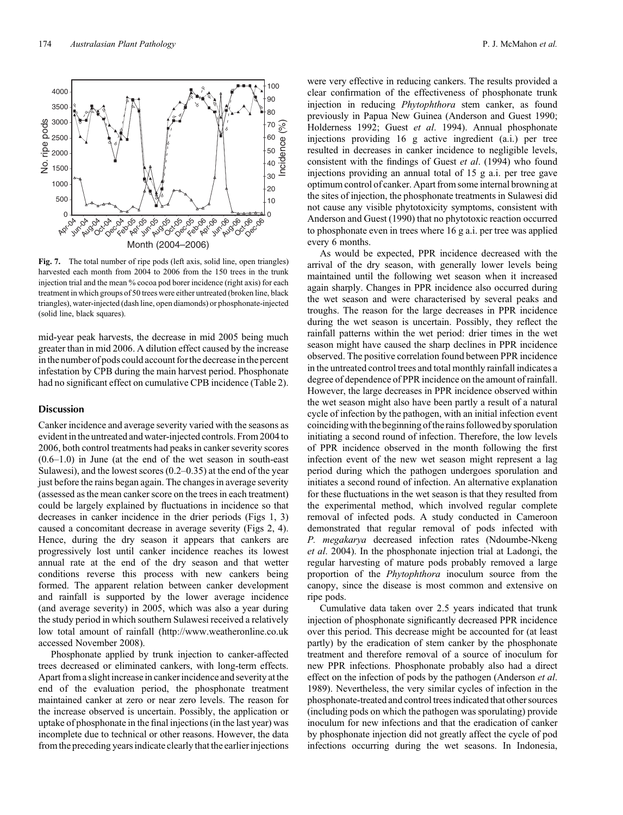**Fig. 7.** The total number of ripe pods (left axis, solid line, open triangles) harvested each month from 2004 to 2006 from the 150 trees in the trunk injection trial and the mean % cocoa pod borer incidence (right axis) for each treatment in which groups of 50 trees were either untreated (broken line, black triangles), water-injected (dash line, open diamonds) or phosphonate-injected (solid line, black squares).

mid-year peak harvests, the decrease in mid 2005 being much greater than in mid 2006. A dilution effect caused by the increase in the number of pods could account for the decrease in the percent infestation by CPB during the main harvest period. Phosphonate had no significant effect on cumulative CPB incidence ([Table 2](#page-3-0)).

#### **Discussion**

Canker incidence and average severity varied with the seasons as evident in the untreated and water-injected controls. From 2004 to 2006, both control treatments had peaks in canker severity scores (0.6–1.0) in June (at the end of the wet season in south-east Sulawesi), and the lowest scores (0.2–0.35) at the end of the year just before the rains began again. The changes in average severity (assessed as the mean canker score on the trees in each treatment) could be largely explained by fluctuations in incidence so that decreases in canker incidence in the drier periods [\(Figs 1, 3\)](#page-2-0) caused a concomitant decrease in average severity [\(Figs 2](#page-2-0), [4](#page-2-0)). Hence, during the dry season it appears that cankers are progressively lost until canker incidence reaches its lowest annual rate at the end of the dry season and that wetter conditions reverse this process with new cankers being formed. The apparent relation between canker development and rainfall is supported by the lower average incidence (and average severity) in 2005, which was also a year during the study period in which southern Sulawesi received a relatively low total amount of rainfall (http://www.weatheronline.co.uk accessed November 2008).

Phosphonate applied by trunk injection to canker-affected trees decreased or eliminated cankers, with long-term effects. Apart from a slight increase in canker incidence and severity at the end of the evaluation period, the phosphonate treatment maintained canker at zero or near zero levels. The reason for the increase observed is uncertain. Possibly, the application or uptake of phosphonate in the final injections (in the last year) was incomplete due to technical or other reasons. However, the data from the preceding years indicate clearly that the earlier injections

were very effective in reducing cankers. The results provided a clear confirmation of the effectiveness of phosphonate trunk injection in reducing *Phytophthora* stem canker, as found previously in Papua New Guinea ([Anderson and Guest 1990](#page-5-0); [Holderness 1992](#page-5-0); Guest *et al*[. 1994](#page-5-0)). Annual phosphonate injections providing 16 g active ingredient (a.i.) per tree resulted in decreases in canker incidence to negligible levels, consistent with the findings of Guest *et al*[. \(1994\)](#page-5-0) who found injections providing an annual total of 15 g a.i. per tree gave optimum control of canker. Apart from some internal browning at the sites of injection, the phosphonate treatments in Sulawesi did not cause any visible phytotoxicity symptoms, consistent with [Anderson and Guest \(1990\)](#page-5-0) that no phytotoxic reaction occurred to phosphonate even in trees where 16 g a.i. per tree was applied every 6 months.

As would be expected, PPR incidence decreased with the arrival of the dry season, with generally lower levels being maintained until the following wet season when it increased again sharply. Changes in PPR incidence also occurred during the wet season and were characterised by several peaks and troughs. The reason for the large decreases in PPR incidence during the wet season is uncertain. Possibly, they reflect the rainfall patterns within the wet period: drier times in the wet season might have caused the sharp declines in PPR incidence observed. The positive correlation found between PPR incidence in the untreated control trees and total monthly rainfall indicates a degree of dependence of PPR incidence on the amount of rainfall. However, the large decreases in PPR incidence observed within the wet season might also have been partly a result of a natural cycle of infection by the pathogen, with an initial infection event coinciding with the beginning of the rains followed by sporulation initiating a second round of infection. Therefore, the low levels of PPR incidence observed in the month following the first infection event of the new wet season might represent a lag period during which the pathogen undergoes sporulation and initiates a second round of infection. An alternative explanation for these fluctuations in the wet season is that they resulted from the experimental method, which involved regular complete removal of infected pods. A study conducted in Cameroon demonstrated that regular removal of pods infected with *P. megakarya* decreased infection rates ([Ndoumbe-Nkeng](#page-5-0) *et al*[. 2004\)](#page-5-0). In the phosphonate injection trial at Ladongi, the regular harvesting of mature pods probably removed a large proportion of the *Phytophthora* inoculum source from the canopy, since the disease is most common and extensive on ripe pods.

Cumulative data taken over 2.5 years indicated that trunk injection of phosphonate significantly decreased PPR incidence over this period. This decrease might be accounted for (at least partly) by the eradication of stem canker by the phosphonate treatment and therefore removal of a source of inoculum for new PPR infections. Phosphonate probably also had a direct effect on the infection of pods by the pathogen [\(Anderson](#page-5-0) *et al*. [1989\)](#page-5-0). Nevertheless, the very similar cycles of infection in the phosphonate-treated and control trees indicated that other sources (including pods on which the pathogen was sporulating) provide inoculum for new infections and that the eradication of canker by phosphonate injection did not greatly affect the cycle of pod infections occurring during the wet seasons. In Indonesia,

<span id="page-4-0"></span>